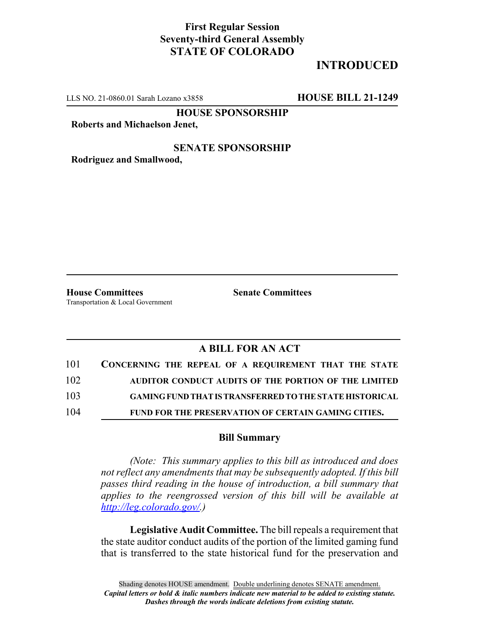## **First Regular Session Seventy-third General Assembly STATE OF COLORADO**

# **INTRODUCED**

LLS NO. 21-0860.01 Sarah Lozano x3858 **HOUSE BILL 21-1249**

**HOUSE SPONSORSHIP**

**Roberts and Michaelson Jenet,**

### **SENATE SPONSORSHIP**

**Rodriguez and Smallwood,**

**House Committees Senate Committees** Transportation & Local Government

## **A BILL FOR AN ACT**

| 101 | CONCERNING THE REPEAL OF A REQUIREMENT THAT THE STATE          |
|-----|----------------------------------------------------------------|
| 102 | AUDITOR CONDUCT AUDITS OF THE PORTION OF THE LIMITED           |
| 103 | <b>GAMING FUND THAT IS TRANSFERRED TO THE STATE HISTORICAL</b> |
| 104 | <b>FUND FOR THE PRESERVATION OF CERTAIN GAMING CITIES.</b>     |

#### **Bill Summary**

*(Note: This summary applies to this bill as introduced and does not reflect any amendments that may be subsequently adopted. If this bill passes third reading in the house of introduction, a bill summary that applies to the reengrossed version of this bill will be available at http://leg.colorado.gov/.)*

**Legislative Audit Committee.** The bill repeals a requirement that the state auditor conduct audits of the portion of the limited gaming fund that is transferred to the state historical fund for the preservation and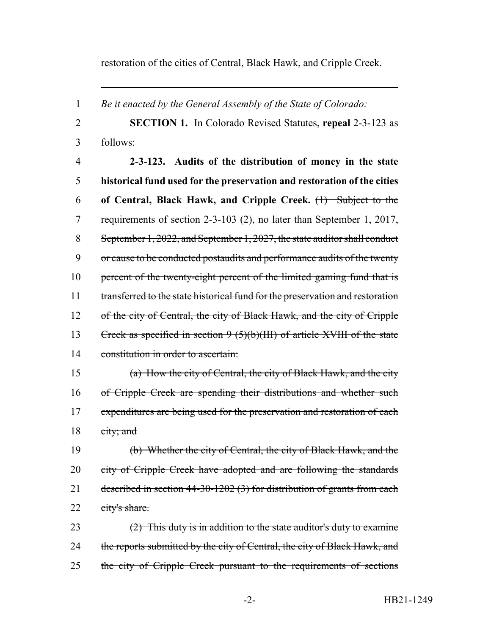restoration of the cities of Central, Black Hawk, and Cripple Creek.

1 *Be it enacted by the General Assembly of the State of Colorado:* 2 **SECTION 1.** In Colorado Revised Statutes, **repeal** 2-3-123 as 3 follows: 4 **2-3-123. Audits of the distribution of money in the state** 5 **historical fund used for the preservation and restoration of the cities** 6 **of Central, Black Hawk, and Cripple Creek.** (1) Subject to the 7 requirements of section 2-3-103 (2), no later than September 1, 2017, 8 September 1, 2022, and September 1, 2027, the state auditor shall conduct 9 or cause to be conducted postaudits and performance audits of the twenty 10 percent of the twenty-eight percent of the limited gaming fund that is 11 transferred to the state historical fund for the preservation and restoration 12 of the city of Central, the city of Black Hawk, and the city of Cripple 13 Creek as specified in section 9 (5)(b)(III) of article XVIII of the state 14 constitution in order to ascertain: 15 (a) How the city of Central, the city of Black Hawk, and the city 16 of Cripple Creek are spending their distributions and whether such 17 expenditures are being used for the preservation and restoration of each 18 city; and 19 (b) Whether the city of Central, the city of Black Hawk, and the 20 city of Cripple Creek have adopted and are following the standards 21 described in section 44-30-1202 (3) for distribution of grants from each 22 city's share. 23  $(2)$  This duty is in addition to the state auditor's duty to examine 24 the reports submitted by the city of Central, the city of Black Hawk, and 25 the city of Cripple Creek pursuant to the requirements of sections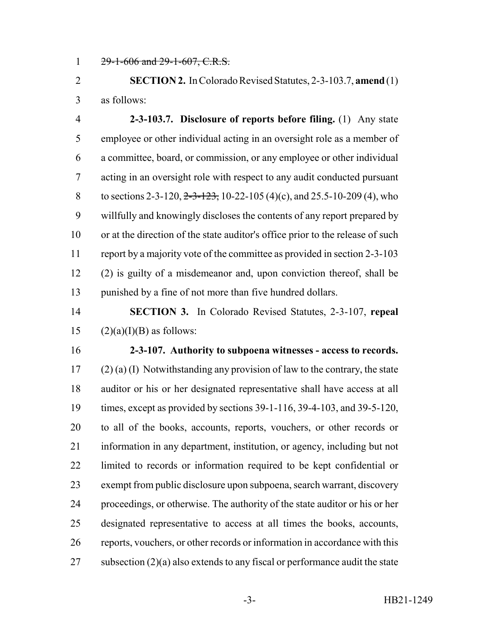29-1-606 and 29-1-607, C.R.S.

 **SECTION 2.** In Colorado Revised Statutes, 2-3-103.7, **amend** (1) as follows:

 **2-3-103.7. Disclosure of reports before filing.** (1) Any state employee or other individual acting in an oversight role as a member of a committee, board, or commission, or any employee or other individual acting in an oversight role with respect to any audit conducted pursuant 8 to sections 2-3-120, 2-3-123, 10-22-105 (4)(c), and 25.5-10-209 (4), who willfully and knowingly discloses the contents of any report prepared by or at the direction of the state auditor's office prior to the release of such report by a majority vote of the committee as provided in section 2-3-103 (2) is guilty of a misdemeanor and, upon conviction thereof, shall be punished by a fine of not more than five hundred dollars.

 **SECTION 3.** In Colorado Revised Statutes, 2-3-107, **repeal** 15  $(2)(a)(I)(B)$  as follows:

 **2-3-107. Authority to subpoena witnesses - access to records.** (2) (a) (I) Notwithstanding any provision of law to the contrary, the state auditor or his or her designated representative shall have access at all times, except as provided by sections 39-1-116, 39-4-103, and 39-5-120, to all of the books, accounts, reports, vouchers, or other records or information in any department, institution, or agency, including but not limited to records or information required to be kept confidential or exempt from public disclosure upon subpoena, search warrant, discovery proceedings, or otherwise. The authority of the state auditor or his or her designated representative to access at all times the books, accounts, reports, vouchers, or other records or information in accordance with this 27 subsection  $(2)(a)$  also extends to any fiscal or performance audit the state